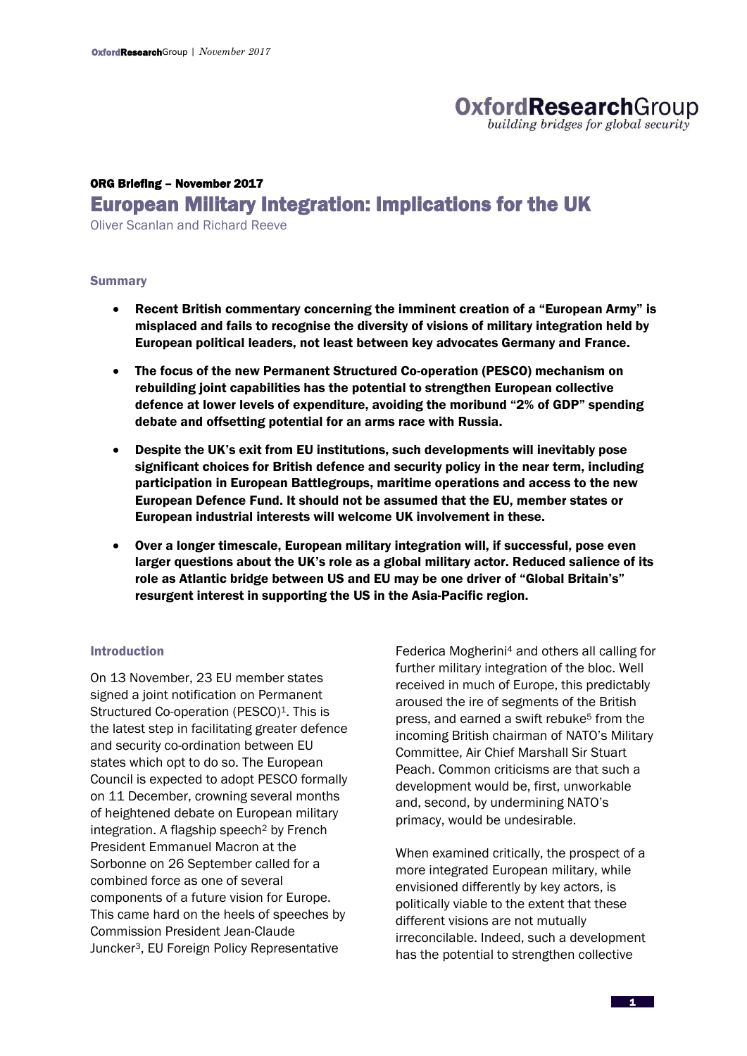# **OxfordResearchGroup** building bridges for global security

# ORG Briefing – November 2017 European Military Integration: Implications for the UK

Oliver Scanlan and Richard Reeve

#### **Summary**

- Recent British commentary concerning the imminent creation of a "European Army" is misplaced and fails to recognise the diversity of visions of military integration held by European political leaders, not least between key advocates Germany and France.
- The focus of the new Permanent Structured Co-operation (PESCO) mechanism on rebuilding joint capabilities has the potential to strengthen European collective defence at lower levels of expenditure, avoiding the moribund "2% of GDP" spending debate and offsetting potential for an arms race with Russia.
- Despite the UK's exit from EU institutions, such developments will inevitably pose significant choices for British defence and security policy in the near term, including participation in European Battlegroups, maritime operations and access to the new European Defence Fund. It should not be assumed that the EU, member states or European industrial interests will welcome UK involvement in these.
- Over a longer timescale, European military integration will, if successful, pose even larger questions about the UK's role as a global military actor. Reduced salience of its role as Atlantic bridge between US and EU may be one driver of "Global Britain's" resurgent interest in supporting the US in the Asia-Pacific region.

### Introduction

On 13 November, 23 EU member states signed a joint notification on Permanent Structured Co-operation (PESCO)<sup>1</sup>. This is the latest step in facilitating greater defence and security co-ordination between EU states which opt to do so. The European Council is expected to adopt PESCO formally on 11 December, crowning several months of heightened debate on European military integration. A flagship speech<sup>2</sup> by French President Emmanuel Macron at the Sorbonne on 26 September called for a combined force as one of several components of a future vision for Europe. This came hard on the heels of speeches by Commission President Jean-Claude Juncker3, EU Foreign Policy Representative

Federica Mogherini<sup>4</sup> and others all calling for further military integration of the bloc. Well received in much of Europe, this predictably aroused the ire of segments of the British press, and earned a swift rebuke<sup>5</sup> from the incoming British chairman of NATO's Military Committee, Air Chief Marshall Sir Stuart Peach. Common criticisms are that such a development would be, first, unworkable and, second, by undermining NATO's primacy, would be undesirable.

When examined critically, the prospect of a more integrated European military, while envisioned differently by key actors, is politically viable to the extent that these different visions are not mutually irreconcilable. Indeed, such a development has the potential to strengthen collective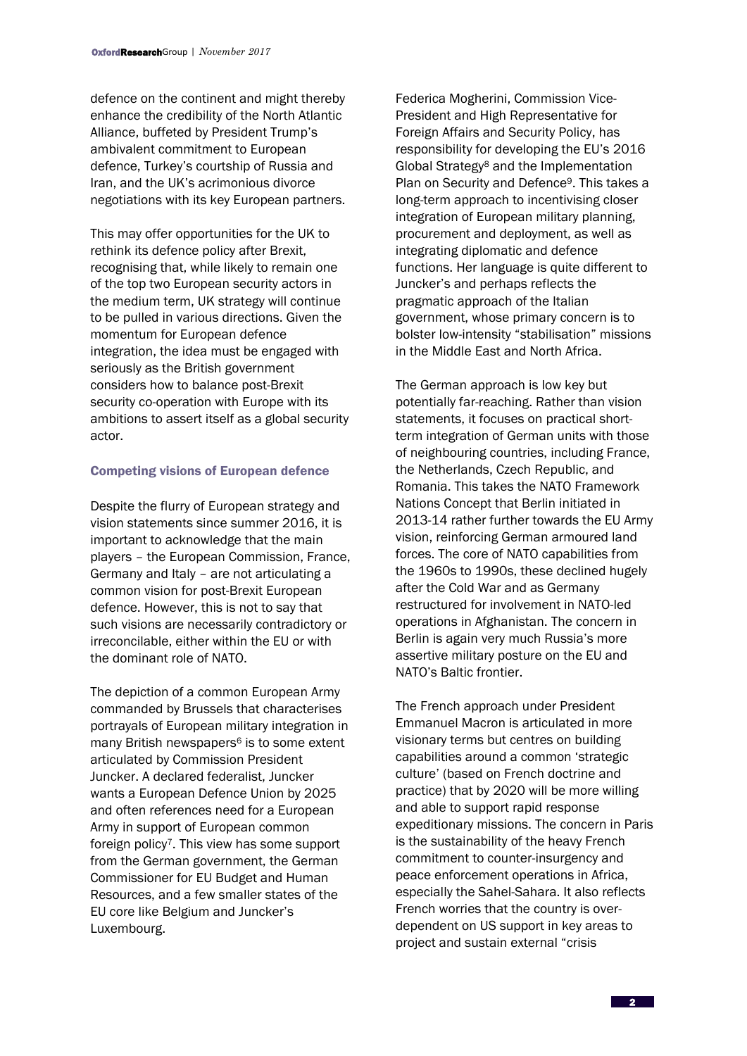defence on the continent and might thereby enhance the credibility of the North Atlantic Alliance, buffeted by President Trump's ambivalent commitment to European defence, Turkey's courtship of Russia and Iran, and the UK's acrimonious divorce negotiations with its key European partners.

This may offer opportunities for the UK to rethink its defence policy after Brexit, recognising that, while likely to remain one of the top two European security actors in the medium term, UK strategy will continue to be pulled in various directions. Given the momentum for European defence integration, the idea must be engaged with seriously as the British government considers how to balance post-Brexit security co-operation with Europe with its ambitions to assert itself as a global security actor.

## Competing visions of European defence

Despite the flurry of European strategy and vision statements since summer 2016, it is important to acknowledge that the main players – the European Commission, France, Germany and Italy – are not articulating a common vision for post-Brexit European defence. However, this is not to say that such visions are necessarily contradictory or irreconcilable, either within the EU or with the dominant role of NATO.

The depiction of a common European Army commanded by Brussels that characterises portrayals of European military integration in many British newspapers<sup>6</sup> is to some extent articulated by Commission President Juncker. A declared federalist, Juncker wants a European Defence Union by 2025 and often references need for a European Army in support of European common foreign policy7. This view has some support from the German government, the German Commissioner for EU Budget and Human Resources, and a few smaller states of the EU core like Belgium and Juncker's Luxembourg.

Federica Mogherini, Commission Vice-President and High Representative for Foreign Affairs and Security Policy, has responsibility for developing the EU's 2016 Global Strategy<sup>8</sup> and the Implementation Plan on Security and Defence9. This takes a long-term approach to incentivising closer integration of European military planning, procurement and deployment, as well as integrating diplomatic and defence functions. Her language is quite different to Juncker's and perhaps reflects the pragmatic approach of the Italian government, whose primary concern is to bolster low-intensity "stabilisation" missions in the Middle East and North Africa.

The German approach is low key but potentially far-reaching. Rather than vision statements, it focuses on practical shortterm integration of German units with those of neighbouring countries, including France, the Netherlands, Czech Republic, and Romania. This takes the NATO Framework Nations Concept that Berlin initiated in 2013-14 rather further towards the EU Army vision, reinforcing German armoured land forces. The core of NATO capabilities from the 1960s to 1990s, these declined hugely after the Cold War and as Germany restructured for involvement in NATO-led operations in Afghanistan. The concern in Berlin is again very much Russia's more assertive military posture on the EU and NATO's Baltic frontier.

The French approach under President Emmanuel Macron is articulated in more visionary terms but centres on building capabilities around a common 'strategic culture' (based on French doctrine and practice) that by 2020 will be more willing and able to support rapid response expeditionary missions. The concern in Paris is the sustainability of the heavy French commitment to counter-insurgency and peace enforcement operations in Africa, especially the Sahel-Sahara. It also reflects French worries that the country is overdependent on US support in key areas to project and sustain external "crisis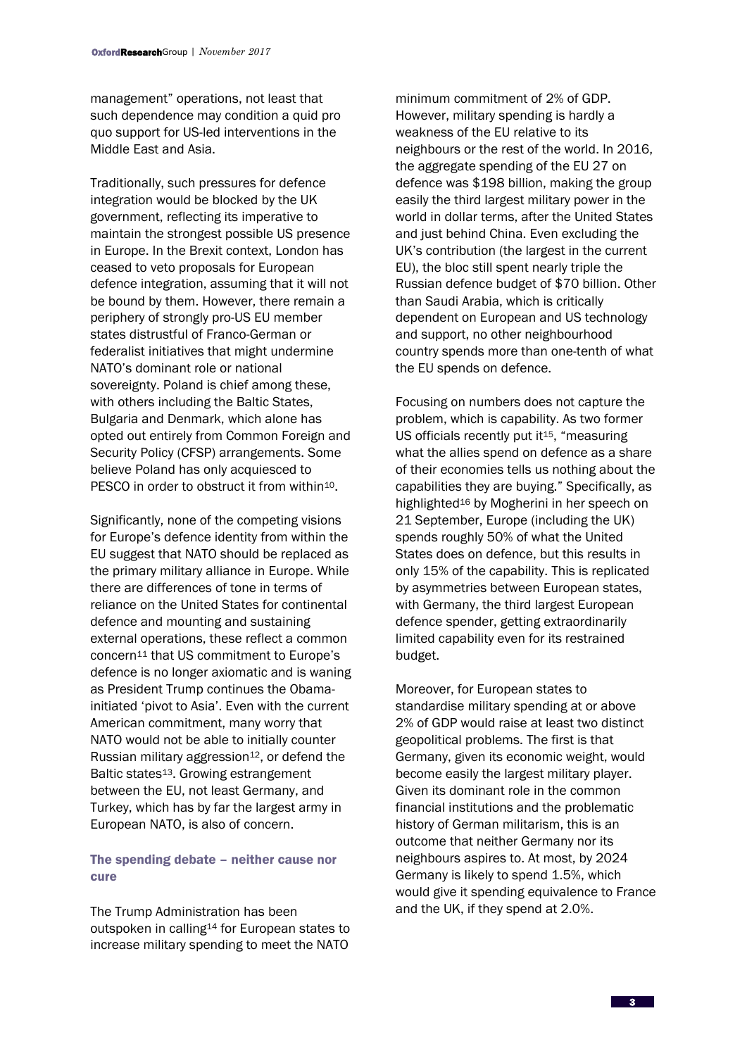management" operations, not least that such dependence may condition a quid pro quo support for US-led interventions in the Middle East and Asia.

Traditionally, such pressures for defence integration would be blocked by the UK government, reflecting its imperative to maintain the strongest possible US presence in Europe. In the Brexit context, London has ceased to veto proposals for European defence integration, assuming that it will not be bound by them. However, there remain a periphery of strongly pro-US EU member states distrustful of Franco-German or federalist initiatives that might undermine NATO's dominant role or national sovereignty. Poland is chief among these, with others including the Baltic States, Bulgaria and Denmark, which alone has opted out entirely from Common Foreign and Security Policy (CFSP) arrangements. Some believe Poland has only acquiesced to PESCO in order to obstruct it from within<sup>10</sup>.

Significantly, none of the competing visions for Europe's defence identity from within the EU suggest that NATO should be replaced as the primary military alliance in Europe. While there are differences of tone in terms of reliance on the United States for continental defence and mounting and sustaining external operations, these reflect a common concern<sup>11</sup> that US commitment to Europe's defence is no longer axiomatic and is waning as President Trump continues the Obamainitiated 'pivot to Asia'. Even with the current American commitment, many worry that NATO would not be able to initially counter Russian military aggression<sup>12</sup>, or defend the Baltic states13. Growing estrangement between the EU, not least Germany, and Turkey, which has by far the largest army in European NATO, is also of concern.

# The spending debate – neither cause nor cure

The Trump Administration has been outspoken in calling<sup>14</sup> for European states to increase military spending to meet the NATO

minimum commitment of 2% of GDP. However, military spending is hardly a weakness of the EU relative to its neighbours or the rest of the world. In 2016, the aggregate spending of the EU 27 on defence was \$198 billion, making the group easily the third largest military power in the world in dollar terms, after the United States and just behind China. Even excluding the UK's contribution (the largest in the current EU), the bloc still spent nearly triple the Russian defence budget of \$70 billion. Other than Saudi Arabia, which is critically dependent on European and US technology and support, no other neighbourhood country spends more than one-tenth of what the EU spends on defence.

Focusing on numbers does not capture the problem, which is capability. As two former US officials recently put it<sup>15</sup>, "measuring what the allies spend on defence as a share of their economies tells us nothing about the capabilities they are buying." Specifically, as highlighted<sup>16</sup> by Mogherini in her speech on 21 September, Europe (including the UK) spends roughly 50% of what the United States does on defence, but this results in only 15% of the capability. This is replicated by asymmetries between European states, with Germany, the third largest European defence spender, getting extraordinarily limited capability even for its restrained budget.

Moreover, for European states to standardise military spending at or above 2% of GDP would raise at least two distinct geopolitical problems. The first is that Germany, given its economic weight, would become easily the largest military player. Given its dominant role in the common financial institutions and the problematic history of German militarism, this is an outcome that neither Germany nor its neighbours aspires to. At most, by 2024 Germany is likely to spend 1.5%, which would give it spending equivalence to France and the UK, if they spend at 2.0%.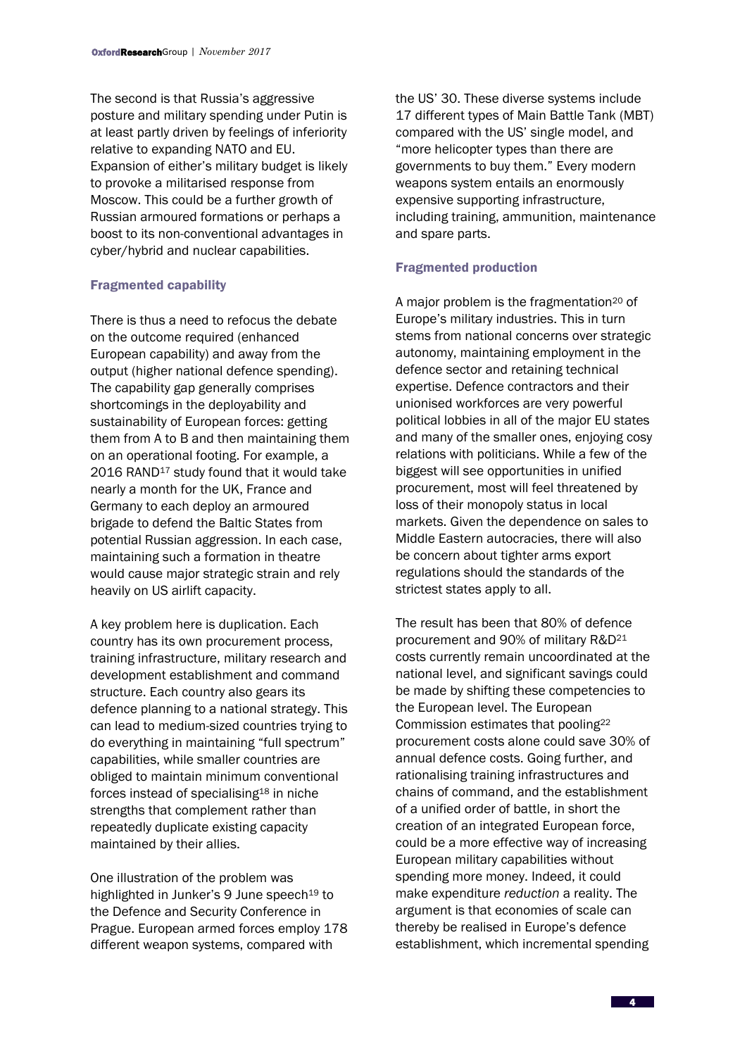The second is that Russia's aggressive posture and military spending under Putin is at least partly driven by feelings of inferiority relative to expanding NATO and EU. Expansion of either's military budget is likely to provoke a militarised response from Moscow. This could be a further growth of Russian armoured formations or perhaps a boost to its non-conventional advantages in cyber/hybrid and nuclear capabilities.

### Fragmented capability

There is thus a need to refocus the debate on the outcome required (enhanced European capability) and away from the output (higher national defence spending). The capability gap generally comprises shortcomings in the deployability and sustainability of European forces: getting them from A to B and then maintaining them on an operational footing. For example, a 2016 RAND<sup>17</sup> study found that it would take nearly a month for the UK, France and Germany to each deploy an armoured brigade to defend the Baltic States from potential Russian aggression. In each case, maintaining such a formation in theatre would cause major strategic strain and rely heavily on US airlift capacity.

A key problem here is duplication. Each country has its own procurement process, training infrastructure, military research and development establishment and command structure. Each country also gears its defence planning to a national strategy. This can lead to medium-sized countries trying to do everything in maintaining "full spectrum" capabilities, while smaller countries are obliged to maintain minimum conventional forces instead of specialising<sup>18</sup> in niche strengths that complement rather than repeatedly duplicate existing capacity maintained by their allies.

One illustration of the problem was highlighted in Junker's 9 June speech<sup>19</sup> to the Defence and Security Conference in Prague. European armed forces employ 178 different weapon systems, compared with

the US' 30. These diverse systems include 17 different types of Main Battle Tank (MBT) compared with the US' single model, and "more helicopter types than there are governments to buy them." Every modern weapons system entails an enormously expensive supporting infrastructure, including training, ammunition, maintenance and spare parts.

### Fragmented production

A major problem is the fragmentation<sup>20</sup> of Europe's military industries. This in turn stems from national concerns over strategic autonomy, maintaining employment in the defence sector and retaining technical expertise. Defence contractors and their unionised workforces are very powerful political lobbies in all of the major EU states and many of the smaller ones, enjoying cosy relations with politicians. While a few of the biggest will see opportunities in unified procurement, most will feel threatened by loss of their monopoly status in local markets. Given the dependence on sales to Middle Eastern autocracies, there will also be concern about tighter arms export regulations should the standards of the strictest states apply to all.

The result has been that 80% of defence procurement and 90% of military R&D<sup>21</sup> costs currently remain uncoordinated at the national level, and significant savings could be made by shifting these competencies to the European level. The European Commission estimates that pooling<sup>22</sup> procurement costs alone could save 30% of annual defence costs. Going further, and rationalising training infrastructures and chains of command, and the establishment of a unified order of battle, in short the creation of an integrated European force, could be a more effective way of increasing European military capabilities without spending more money. Indeed, it could make expenditure *reduction* a reality. The argument is that economies of scale can thereby be realised in Europe's defence establishment, which incremental spending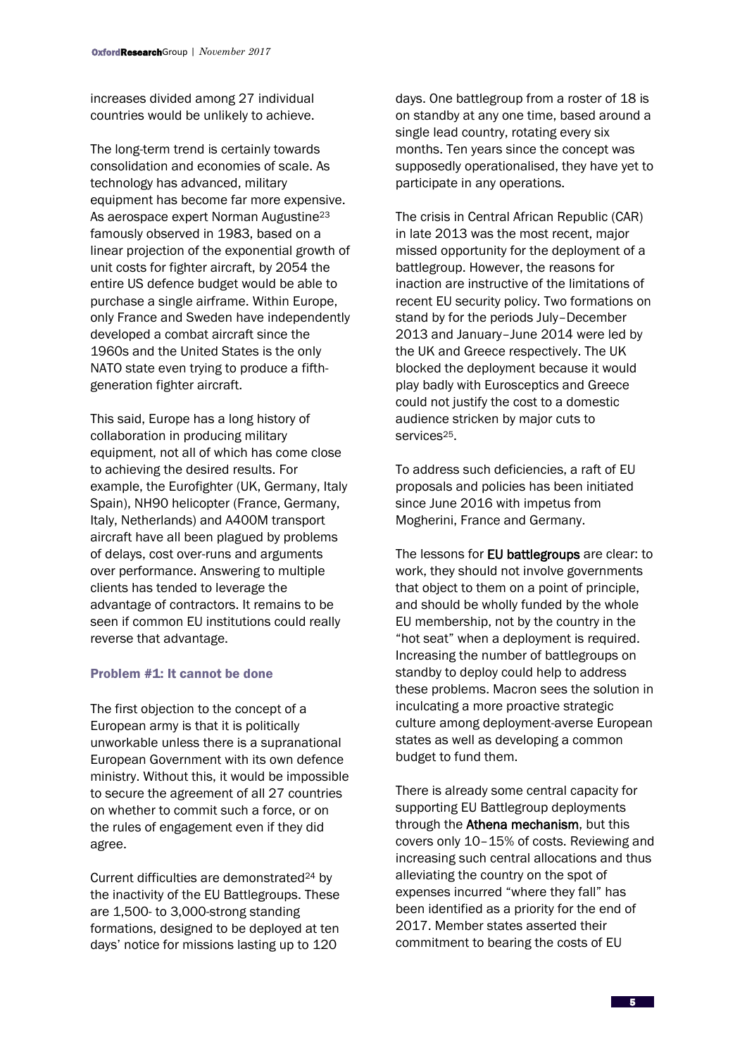increases divided among 27 individual countries would be unlikely to achieve.

The long-term trend is certainly towards consolidation and economies of scale. As technology has advanced, military equipment has become far more expensive. As aerospace expert Norman Augustine<sup>23</sup> famously observed in 1983, based on a linear projection of the exponential growth of unit costs for fighter aircraft, by 2054 the entire US defence budget would be able to purchase a single airframe. Within Europe, only France and Sweden have independently developed a combat aircraft since the 1960s and the United States is the only NATO state even trying to produce a fifthgeneration fighter aircraft.

This said, Europe has a long history of collaboration in producing military equipment, not all of which has come close to achieving the desired results. For example, the Eurofighter (UK, Germany, Italy Spain), NH90 helicopter (France, Germany, Italy, Netherlands) and A400M transport aircraft have all been plagued by problems of delays, cost over-runs and arguments over performance. Answering to multiple clients has tended to leverage the advantage of contractors. It remains to be seen if common EU institutions could really reverse that advantage.

## Problem #1: It cannot be done

The first objection to the concept of a European army is that it is politically unworkable unless there is a supranational European Government with its own defence ministry. Without this, it would be impossible to secure the agreement of all 27 countries on whether to commit such a force, or on the rules of engagement even if they did agree.

Current difficulties are demonstrated<sup>24</sup> by the inactivity of the EU Battlegroups. These are 1,500- to 3,000-strong standing formations, designed to be deployed at ten days' notice for missions lasting up to 120

days. One battlegroup from a roster of 18 is on standby at any one time, based around a single lead country, rotating every six months. Ten years since the concept was supposedly operationalised, they have yet to participate in any operations.

The crisis in Central African Republic (CAR) in late 2013 was the most recent, major missed opportunity for the deployment of a battlegroup. However, the reasons for inaction are instructive of the limitations of recent EU security policy. Two formations on stand by for the periods July–December 2013 and January–June 2014 were led by the UK and Greece respectively. The UK blocked the deployment because it would play badly with Eurosceptics and Greece could not justify the cost to a domestic audience stricken by major cuts to services<sup>25</sup>.

To address such deficiencies, a raft of EU proposals and policies has been initiated since June 2016 with impetus from Mogherini, France and Germany.

The lessons for **EU battlegroups** are clear: to work, they should not involve governments that object to them on a point of principle, and should be wholly funded by the whole EU membership, not by the country in the "hot seat" when a deployment is required. Increasing the number of battlegroups on standby to deploy could help to address these problems. Macron sees the solution in inculcating a more proactive strategic culture among deployment-averse European states as well as developing a common budget to fund them.

There is already some central capacity for supporting EU Battlegroup deployments through the Athena mechanism, but this covers only 10–15% of costs. Reviewing and increasing such central allocations and thus alleviating the country on the spot of expenses incurred "where they fall" has been identified as a priority for the end of 2017. Member states asserted their commitment to bearing the costs of EU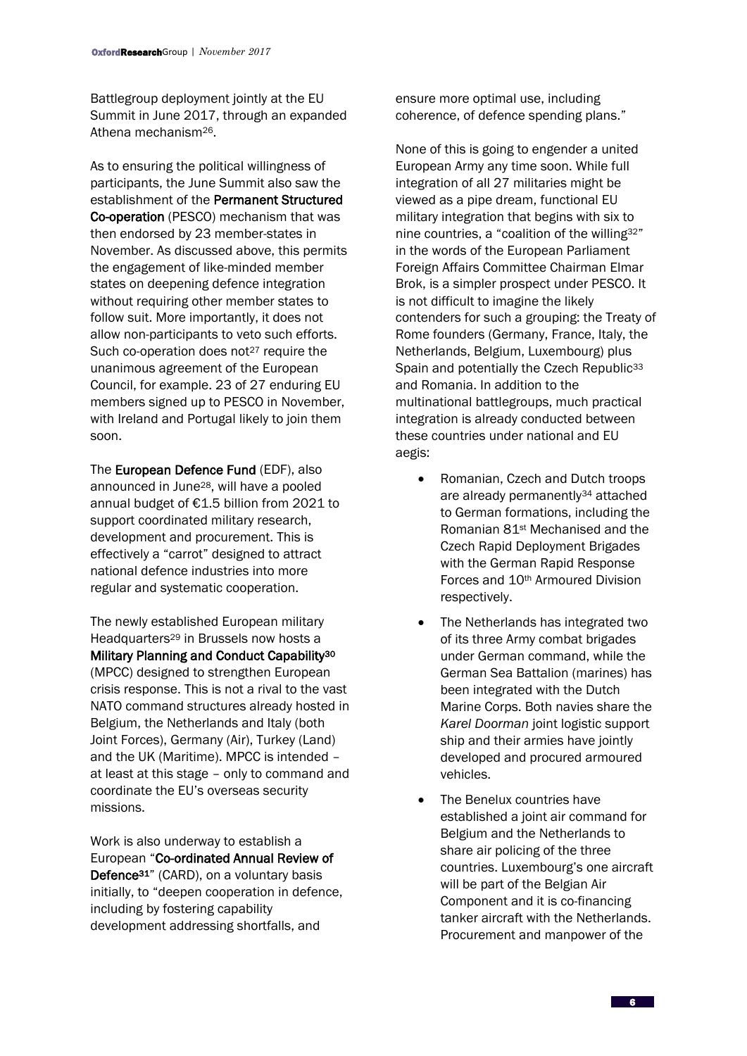Battlegroup deployment jointly at the EU Summit in June 2017, through an expanded Athena mechanism26.

As to ensuring the political willingness of participants, the June Summit also saw the establishment of the Permanent Structured Co-operation (PESCO) mechanism that was then endorsed by 23 member-states in November. As discussed above, this permits the engagement of like-minded member states on deepening defence integration without requiring other member states to follow suit. More importantly, it does not allow non-participants to veto such efforts. Such co-operation does not<sup>27</sup> require the unanimous agreement of the European Council, for example. 23 of 27 enduring EU members signed up to PESCO in November, with Ireland and Portugal likely to join them soon.

The European Defence Fund (EDF), also announced in June28, will have a pooled annual budget of €1.5 billion from 2021 to support coordinated military research, development and procurement. This is effectively a "carrot" designed to attract national defence industries into more regular and systematic cooperation.

The newly established European military Headquarters<sup>29</sup> in Brussels now hosts a Military Planning and Conduct Capability<sup>30</sup> (MPCC) designed to strengthen European crisis response. This is not a rival to the vast NATO command structures already hosted in Belgium, the Netherlands and Italy (both Joint Forces), Germany (Air), Turkey (Land) and the UK (Maritime). MPCC is intended – at least at this stage – only to command and coordinate the EU's overseas security missions.

Work is also underway to establish a European "Co-ordinated Annual Review of Defence<sup>31"</sup> (CARD), on a voluntary basis initially, to "deepen cooperation in defence, including by fostering capability development addressing shortfalls, and

ensure more optimal use, including coherence, of defence spending plans."

None of this is going to engender a united European Army any time soon. While full integration of all 27 militaries might be viewed as a pipe dream, functional EU military integration that begins with six to nine countries, a "coalition of the willing32" in the words of the European Parliament Foreign Affairs Committee Chairman Elmar Brok, is a simpler prospect under PESCO. It is not difficult to imagine the likely contenders for such a grouping: the Treaty of Rome founders (Germany, France, Italy, the Netherlands, Belgium, Luxembourg) plus Spain and potentially the Czech Republic<sup>33</sup> and Romania. In addition to the multinational battlegroups, much practical integration is already conducted between these countries under national and EU aegis:

- Romanian, Czech and Dutch troops are already permanently<sup>34</sup> attached to German formations, including the Romanian 81st Mechanised and the Czech Rapid Deployment Brigades with the German Rapid Response Forces and 10th Armoured Division respectively.
- The Netherlands has integrated two of its three Army combat brigades under German command, while the German Sea Battalion (marines) has been integrated with the Dutch Marine Corps. Both navies share the *Karel Doorman* joint logistic support ship and their armies have jointly developed and procured armoured vehicles.
- The Benelux countries have established a joint air command for Belgium and the Netherlands to share air policing of the three countries. Luxembourg's one aircraft will be part of the Belgian Air Component and it is co-financing tanker aircraft with the Netherlands. Procurement and manpower of the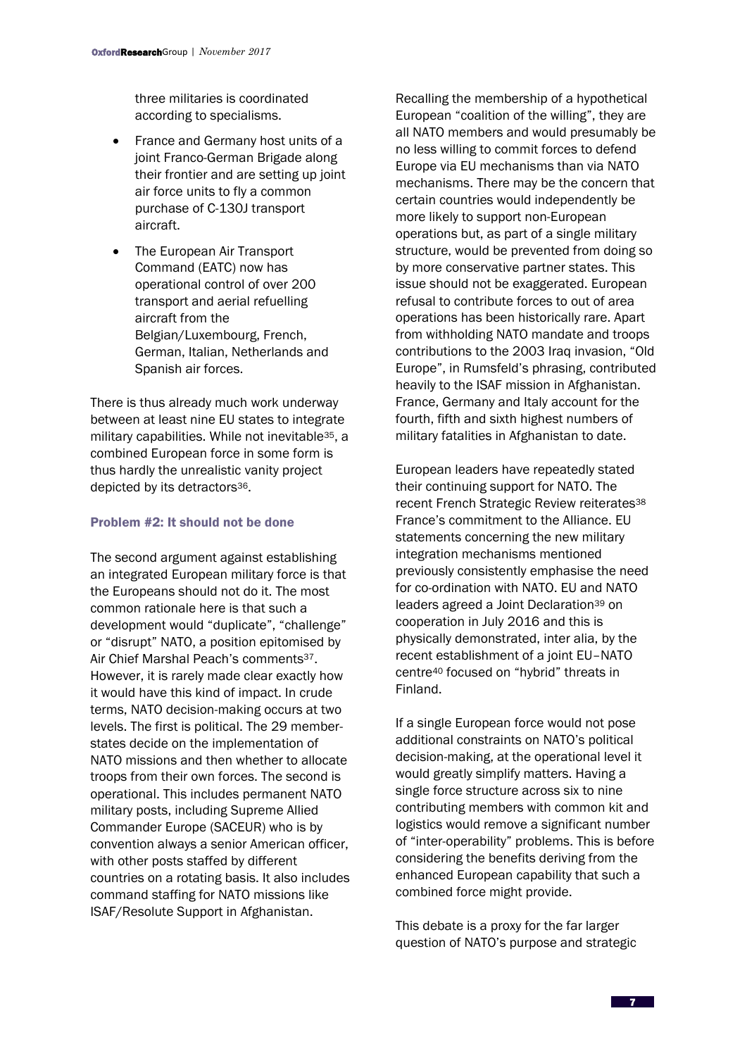three militaries is coordinated according to specialisms.

- France and Germany host units of a joint Franco-German Brigade along their frontier and are setting up joint air force units to fly a common purchase of C-130J transport aircraft.
- The European Air Transport Command (EATC) now has operational control of over 200 transport and aerial refuelling aircraft from the Belgian/Luxembourg, French, German, Italian, Netherlands and Spanish air forces.

There is thus already much work underway between at least nine EU states to integrate military capabilities. While not inevitable35, a combined European force in some form is thus hardly the unrealistic vanity project depicted by its detractors<sup>36</sup>.

# Problem #2: It should not be done

The second argument against establishing an integrated European military force is that the Europeans should not do it. The most common rationale here is that such a development would "duplicate", "challenge" or "disrupt" NATO, a position epitomised by Air Chief Marshal Peach's comments<sup>37</sup>. However, it is rarely made clear exactly how it would have this kind of impact. In crude terms, NATO decision-making occurs at two levels. The first is political. The 29 memberstates decide on the implementation of NATO missions and then whether to allocate troops from their own forces. The second is operational. This includes permanent NATO military posts, including Supreme Allied Commander Europe (SACEUR) who is by convention always a senior American officer, with other posts staffed by different countries on a rotating basis. It also includes command staffing for NATO missions like ISAF/Resolute Support in Afghanistan.

Recalling the membership of a hypothetical European "coalition of the willing", they are all NATO members and would presumably be no less willing to commit forces to defend Europe via EU mechanisms than via NATO mechanisms. There may be the concern that certain countries would independently be more likely to support non-European operations but, as part of a single military structure, would be prevented from doing so by more conservative partner states. This issue should not be exaggerated. European refusal to contribute forces to out of area operations has been historically rare. Apart from withholding NATO mandate and troops contributions to the 2003 Iraq invasion, "Old Europe", in Rumsfeld's phrasing, contributed heavily to the ISAF mission in Afghanistan. France, Germany and Italy account for the fourth, fifth and sixth highest numbers of military fatalities in Afghanistan to date.

European leaders have repeatedly stated their continuing support for NATO. The recent French Strategic Review reiterates<sup>38</sup> France's commitment to the Alliance. EU statements concerning the new military integration mechanisms mentioned previously consistently emphasise the need for co-ordination with NATO. EU and NATO leaders agreed a Joint Declaration<sup>39</sup> on cooperation in July 2016 and this is physically demonstrated, inter alia, by the recent establishment of a joint EU–NATO centre<sup>40</sup> focused on "hybrid" threats in Finland.

If a single European force would not pose additional constraints on NATO's political decision-making, at the operational level it would greatly simplify matters. Having a single force structure across six to nine contributing members with common kit and logistics would remove a significant number of "inter-operability" problems. This is before considering the benefits deriving from the enhanced European capability that such a combined force might provide.

This debate is a proxy for the far larger question of NATO's purpose and strategic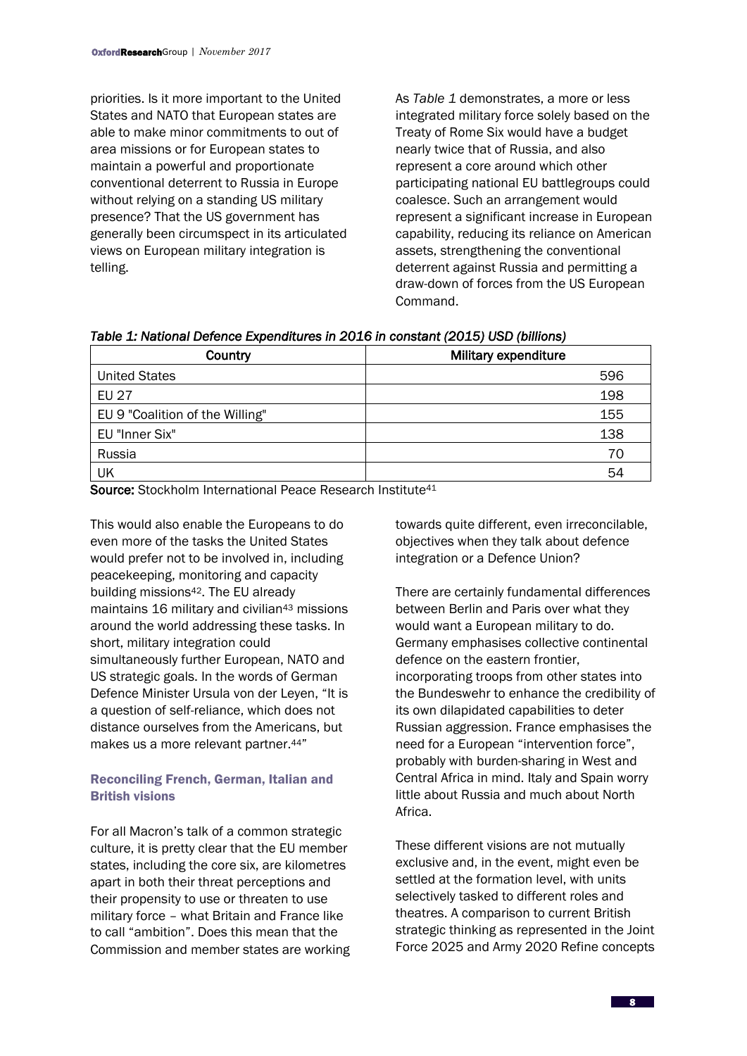priorities. Is it more important to the United States and NATO that European states are able to make minor commitments to out of area missions or for European states to maintain a powerful and proportionate conventional deterrent to Russia in Europe without relying on a standing US military presence? That the US government has generally been circumspect in its articulated views on European military integration is telling.

As *Table 1* demonstrates, a more or less integrated military force solely based on the Treaty of Rome Six would have a budget nearly twice that of Russia, and also represent a core around which other participating national EU battlegroups could coalesce. Such an arrangement would represent a significant increase in European capability, reducing its reliance on American assets, strengthening the conventional deterrent against Russia and permitting a draw-down of forces from the US European Command.

*Table 1: National Defence Expenditures in 2016 in constant (2015) USD (billions)* 

| Country                         | <b>Military expenditure</b> |
|---------------------------------|-----------------------------|
| <b>United States</b>            | 596                         |
| <b>EU 27</b>                    | 198                         |
| EU 9 "Coalition of the Willing" | 155                         |
| EU "Inner Six"                  | 138                         |
| Russia                          | 70                          |
| UK                              | 54                          |

Source: Stockholm International Peace Research Institute<sup>41</sup>

This would also enable the Europeans to do even more of the tasks the United States would prefer not to be involved in, including peacekeeping, monitoring and capacity building missions42. The EU already maintains 16 military and civilian<sup>43</sup> missions around the world addressing these tasks. In short, military integration could simultaneously further European, NATO and US strategic goals. In the words of German Defence Minister Ursula von der Leyen, "It is a question of self-reliance, which does not distance ourselves from the Americans, but makes us a more relevant partner.44"

# Reconciling French, German, Italian and British visions

For all Macron's talk of a common strategic culture, it is pretty clear that the EU member states, including the core six, are kilometres apart in both their threat perceptions and their propensity to use or threaten to use military force – what Britain and France like to call "ambition". Does this mean that the Commission and member states are working towards quite different, even irreconcilable, objectives when they talk about defence integration or a Defence Union?

There are certainly fundamental differences between Berlin and Paris over what they would want a European military to do. Germany emphasises collective continental defence on the eastern frontier, incorporating troops from other states into the Bundeswehr to enhance the credibility of its own dilapidated capabilities to deter Russian aggression. France emphasises the need for a European "intervention force", probably with burden-sharing in West and Central Africa in mind. Italy and Spain worry little about Russia and much about North Africa.

These different visions are not mutually exclusive and, in the event, might even be settled at the formation level, with units selectively tasked to different roles and theatres. A comparison to current British strategic thinking as represented in the Joint Force 2025 and Army 2020 Refine concepts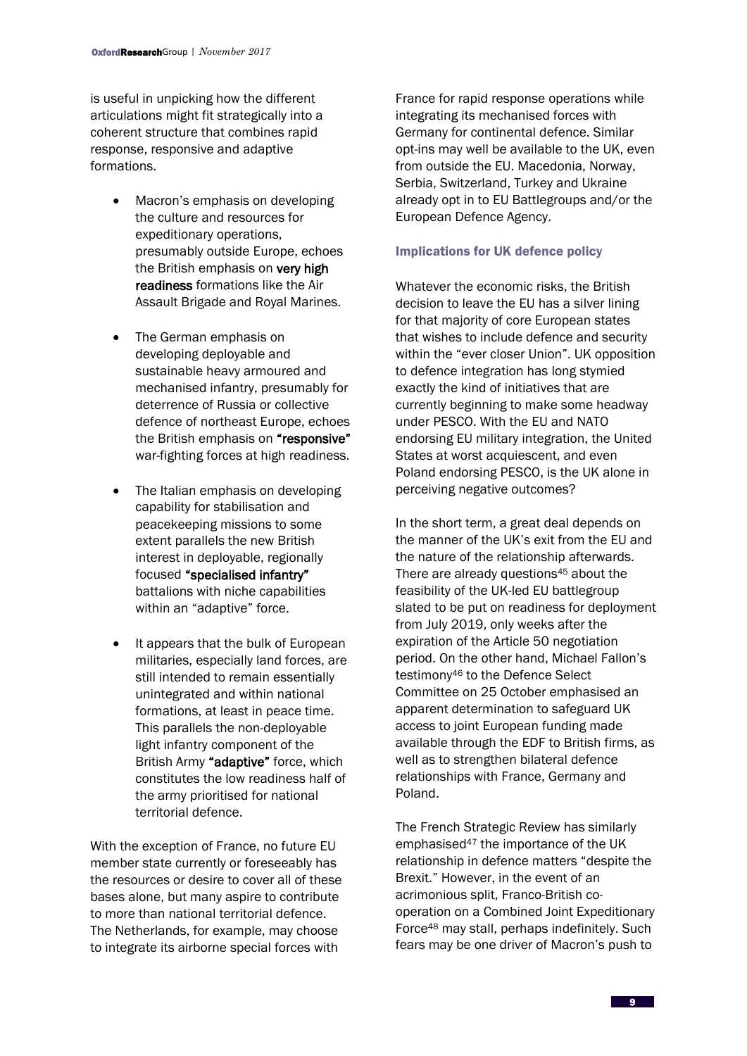is useful in unpicking how the different articulations might fit strategically into a coherent structure that combines rapid response, responsive and adaptive formations.

- Macron's emphasis on developing the culture and resources for expeditionary operations, presumably outside Europe, echoes the British emphasis on very high readiness formations like the Air Assault Brigade and Royal Marines.
- The German emphasis on developing deployable and sustainable heavy armoured and mechanised infantry, presumably for deterrence of Russia or collective defence of northeast Europe, echoes the British emphasis on "responsive" war-fighting forces at high readiness.
- The Italian emphasis on developing capability for stabilisation and peacekeeping missions to some extent parallels the new British interest in deployable, regionally focused "specialised infantry" battalions with niche capabilities within an "adaptive" force.
- It appears that the bulk of European militaries, especially land forces, are still intended to remain essentially unintegrated and within national formations, at least in peace time. This parallels the non-deployable light infantry component of the British Army "adaptive" force, which constitutes the low readiness half of the army prioritised for national territorial defence.

With the exception of France, no future EU member state currently or foreseeably has the resources or desire to cover all of these bases alone, but many aspire to contribute to more than national territorial defence. The Netherlands, for example, may choose to integrate its airborne special forces with

France for rapid response operations while integrating its mechanised forces with Germany for continental defence. Similar opt-ins may well be available to the UK, even from outside the EU. Macedonia, Norway, Serbia, Switzerland, Turkey and Ukraine already opt in to EU Battlegroups and/or the European Defence Agency.

## Implications for UK defence policy

Whatever the economic risks, the British decision to leave the EU has a silver lining for that majority of core European states that wishes to include defence and security within the "ever closer Union". UK opposition to defence integration has long stymied exactly the kind of initiatives that are currently beginning to make some headway under PESCO. With the EU and NATO endorsing EU military integration, the United States at worst acquiescent, and even Poland endorsing PESCO, is the UK alone in perceiving negative outcomes?

In the short term, a great deal depends on the manner of the UK's exit from the EU and the nature of the relationship afterwards. There are already questions<sup>45</sup> about the feasibility of the UK-led EU battlegroup slated to be put on readiness for deployment from July 2019, only weeks after the expiration of the Article 50 negotiation period. On the other hand, Michael Fallon's testimony<sup>46</sup> to the Defence Select Committee on 25 October emphasised an apparent determination to safeguard UK access to joint European funding made available through the EDF to British firms, as well as to strengthen bilateral defence relationships with France, Germany and Poland.

The French Strategic Review has similarly emphasised<sup>47</sup> the importance of the UK relationship in defence matters "despite the Brexit." However, in the event of an acrimonious split, Franco-British cooperation on a Combined Joint Expeditionary Force<sup>48</sup> may stall, perhaps indefinitely. Such fears may be one driver of Macron's push to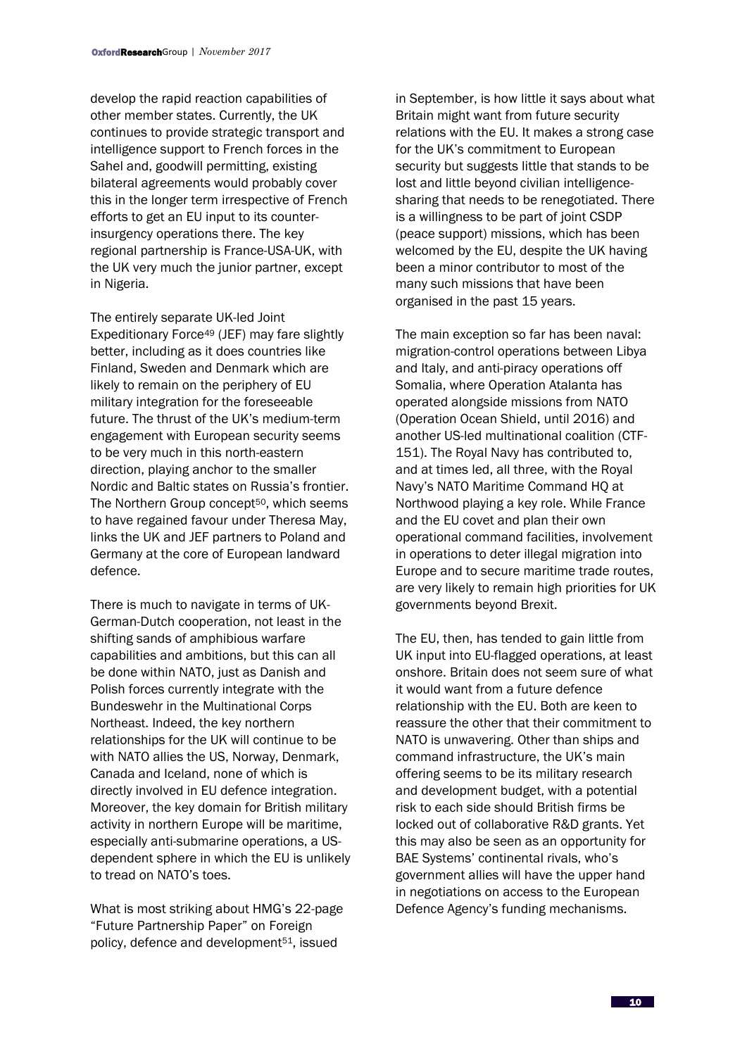develop the rapid reaction capabilities of other member states. Currently, the UK continues to provide strategic transport and intelligence support to French forces in the Sahel and, goodwill permitting, existing bilateral agreements would probably cover this in the longer term irrespective of French efforts to get an EU input to its counterinsurgency operations there. The key regional partnership is France-USA-UK, with the UK very much the junior partner, except in Nigeria.

The entirely separate UK-led Joint Expeditionary Force<sup>49</sup> (JEF) may fare slightly better, including as it does countries like Finland, Sweden and Denmark which are likely to remain on the periphery of EU military integration for the foreseeable future. The thrust of the UK's medium-term engagement with European security seems to be very much in this north-eastern direction, playing anchor to the smaller Nordic and Baltic states on Russia's frontier. The Northern Group concept<sup>50</sup>, which seems to have regained favour under Theresa May, links the UK and JEF partners to Poland and Germany at the core of European landward defence.

There is much to navigate in terms of UK-German-Dutch cooperation, not least in the shifting sands of amphibious warfare capabilities and ambitions, but this can all be done within NATO, just as Danish and Polish forces currently integrate with the Bundeswehr in the Multinational Corps Northeast. Indeed, the key northern relationships for the UK will continue to be with NATO allies the US, Norway, Denmark, Canada and Iceland, none of which is directly involved in EU defence integration. Moreover, the key domain for British military activity in northern Europe will be maritime, especially anti-submarine operations, a USdependent sphere in which the EU is unlikely to tread on NATO's toes.

What is most striking about HMG's 22-page "Future Partnership Paper" on Foreign policy, defence and development51, issued

in September, is how little it says about what Britain might want from future security relations with the EU. It makes a strong case for the UK's commitment to European security but suggests little that stands to be lost and little beyond civilian intelligencesharing that needs to be renegotiated. There is a willingness to be part of joint CSDP (peace support) missions, which has been welcomed by the EU, despite the UK having been a minor contributor to most of the many such missions that have been organised in the past 15 years.

The main exception so far has been naval: migration-control operations between Libya and Italy, and anti-piracy operations off Somalia, where Operation Atalanta has operated alongside missions from NATO (Operation Ocean Shield, until 2016) and another US-led multinational coalition (CTF-151). The Royal Navy has contributed to, and at times led, all three, with the Royal Navy's NATO Maritime Command HQ at Northwood playing a key role. While France and the EU covet and plan their own operational command facilities, involvement in operations to deter illegal migration into Europe and to secure maritime trade routes, are very likely to remain high priorities for UK governments beyond Brexit.

The EU, then, has tended to gain little from UK input into EU-flagged operations, at least onshore. Britain does not seem sure of what it would want from a future defence relationship with the EU. Both are keen to reassure the other that their commitment to NATO is unwavering. Other than ships and command infrastructure, the UK's main offering seems to be its military research and development budget, with a potential risk to each side should British firms be locked out of collaborative R&D grants. Yet this may also be seen as an opportunity for BAE Systems' continental rivals, who's government allies will have the upper hand in negotiations on access to the European Defence Agency's funding mechanisms.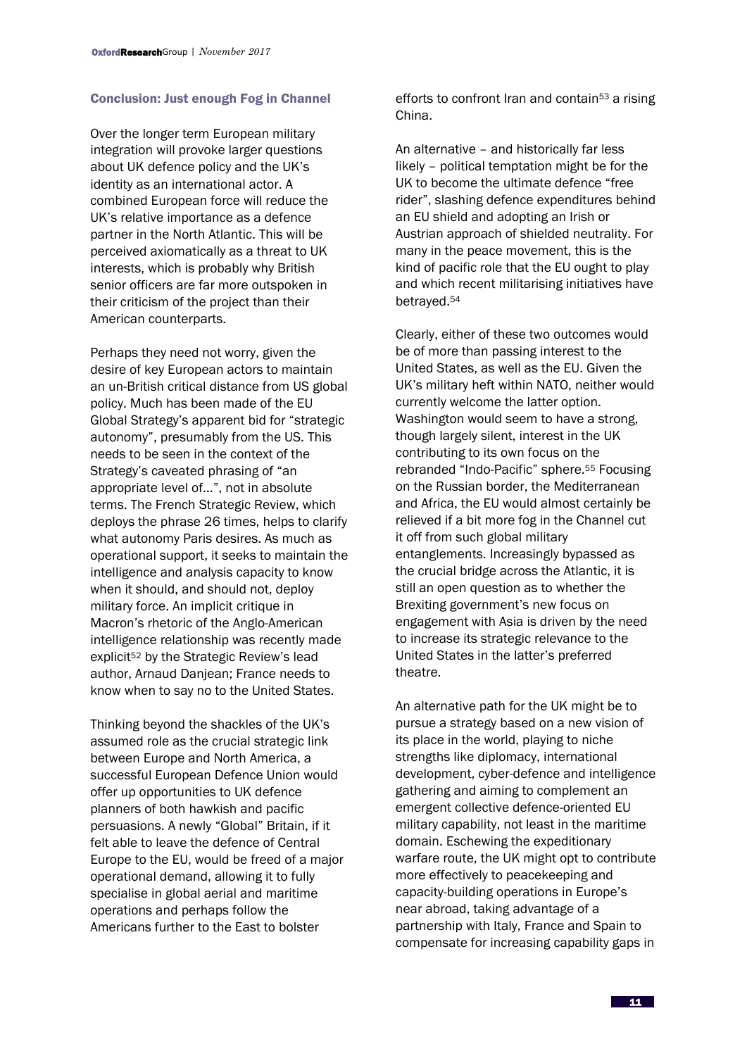## Conclusion: Just enough Fog in Channel

Over the longer term European military integration will provoke larger questions about UK defence policy and the UK's identity as an international actor. A combined European force will reduce the UK's relative importance as a defence partner in the North Atlantic. This will be perceived axiomatically as a threat to UK interests, which is probably why British senior officers are far more outspoken in their criticism of the project than their American counterparts.

Perhaps they need not worry, given the desire of key European actors to maintain an un-British critical distance from US global policy. Much has been made of the EU Global Strategy's apparent bid for "strategic autonomy", presumably from the US. This needs to be seen in the context of the Strategy's caveated phrasing of "an appropriate level of…", not in absolute terms. The French Strategic Review, which deploys the phrase 26 times, helps to clarify what autonomy Paris desires. As much as operational support, it seeks to maintain the intelligence and analysis capacity to know when it should, and should not, deploy military force. An implicit critique in Macron's rhetoric of the Anglo-American intelligence relationship was recently made explicit<sup>52</sup> by the Strategic Review's lead author, Arnaud Danjean; France needs to know when to say no to the United States.

Thinking beyond the shackles of the UK's assumed role as the crucial strategic link between Europe and North America, a successful European Defence Union would offer up opportunities to UK defence planners of both hawkish and pacific persuasions. A newly "Global" Britain, if it felt able to leave the defence of Central Europe to the EU, would be freed of a major operational demand, allowing it to fully specialise in global aerial and maritime operations and perhaps follow the Americans further to the East to bolster

efforts to confront Iran and contain<sup>53</sup> a rising China.

An alternative – and historically far less likely – political temptation might be for the UK to become the ultimate defence "free rider", slashing defence expenditures behind an EU shield and adopting an Irish or Austrian approach of shielded neutrality. For many in the peace movement, this is the kind of pacific role that the EU ought to play and which recent militarising initiatives have betrayed.<sup>54</sup>

Clearly, either of these two outcomes would be of more than passing interest to the United States, as well as the EU. Given the UK's military heft within NATO, neither would currently welcome the latter option. Washington would seem to have a strong, though largely silent, interest in the UK contributing to its own focus on the rebranded "Indo-Pacific" sphere.<sup>55</sup> Focusing on the Russian border, the Mediterranean and Africa, the EU would almost certainly be relieved if a bit more fog in the Channel cut it off from such global military entanglements. Increasingly bypassed as the crucial bridge across the Atlantic, it is still an open question as to whether the Brexiting government's new focus on engagement with Asia is driven by the need to increase its strategic relevance to the United States in the latter's preferred theatre.

An alternative path for the UK might be to pursue a strategy based on a new vision of its place in the world, playing to niche strengths like diplomacy, international development, cyber-defence and intelligence gathering and aiming to complement an emergent collective defence-oriented EU military capability, not least in the maritime domain. Eschewing the expeditionary warfare route, the UK might opt to contribute more effectively to peacekeeping and capacity-building operations in Europe's near abroad, taking advantage of a partnership with Italy, France and Spain to compensate for increasing capability gaps in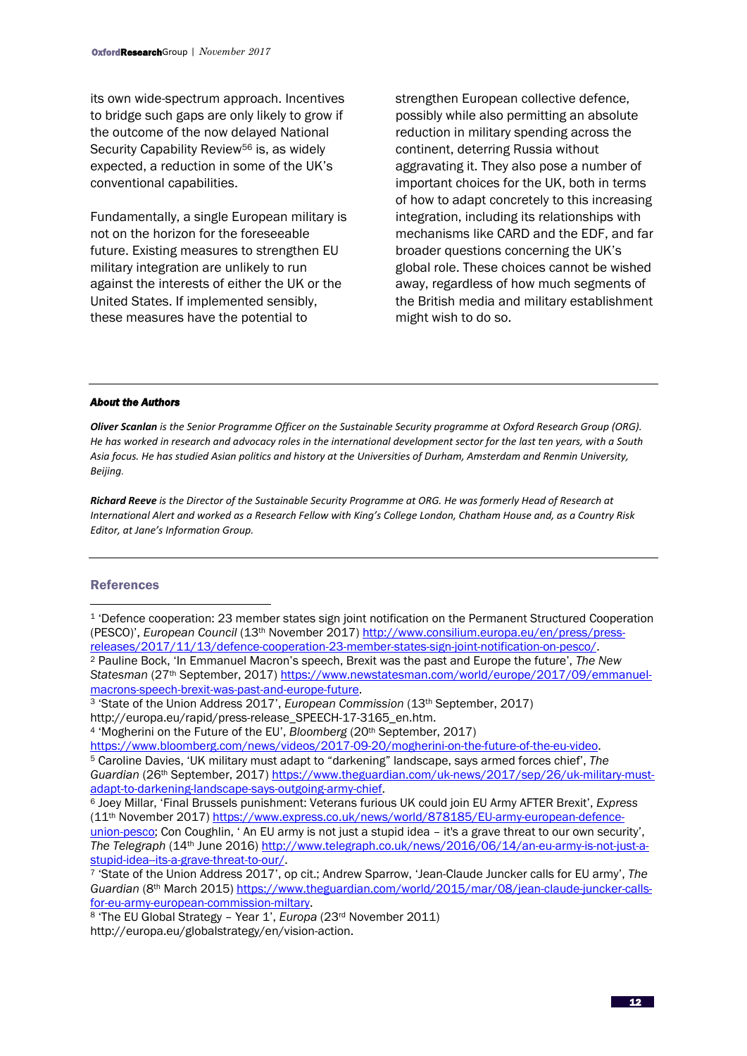its own wide-spectrum approach. Incentives to bridge such gaps are only likely to grow if the outcome of the now delayed National Security Capability Review<sup>56</sup> is, as widely expected, a reduction in some of the UK's conventional capabilities.

Fundamentally, a single European military is not on the horizon for the foreseeable future. Existing measures to strengthen EU military integration are unlikely to run against the interests of either the UK or the United States. If implemented sensibly, these measures have the potential to

strengthen European collective defence, possibly while also permitting an absolute reduction in military spending across the continent, deterring Russia without aggravating it. They also pose a number of important choices for the UK, both in terms of how to adapt concretely to this increasing integration, including its relationships with mechanisms like CARD and the EDF, and far broader questions concerning the UK's global role. These choices cannot be wished away, regardless of how much segments of the British media and military establishment might wish to do so.

#### *About the Authors*

*Oliver Scanlan is the Senior Programme Officer on the Sustainable Security programme at Oxford Research Group (ORG). He has worked in research and advocacy roles in the international development sector for the last ten years, with a South Asia focus. He has studied Asian politics and history at the Universities of Durham, Amsterdam and Renmin University, Beijing.*

*Richard Reeve is the Director of the Sustainable Security Programme at ORG. He was formerly Head of Research at International Alert and worked as a Research Fellow with King's College London, Chatham House and, as a Country Risk Editor, at Jane's Information Group.*

#### References

**.** 

<sup>1</sup> 'Defence cooperation: 23 member states sign joint notification on the Permanent Structured Cooperation (PESCO)', *European Council* (13th November 2017) [http://www.consilium.europa.eu/en/press/press](http://www.consilium.europa.eu/en/press/press-releases/2017/11/13/defence-cooperation-23-member-states-sign-joint-notification-on-pesco/)[releases/2017/11/13/defence-cooperation-23-member-states-sign-joint-notification-on-pesco/.](http://www.consilium.europa.eu/en/press/press-releases/2017/11/13/defence-cooperation-23-member-states-sign-joint-notification-on-pesco/) <sup>2</sup> Pauline Bock, 'In Emmanuel Macron's speech, Brexit was the past and Europe the future', *The New Statesman* (27th September, 2017[\) https://www.newstatesman.com/world/europe/2017/09/emmanuel](https://www.newstatesman.com/world/europe/2017/09/emmanuel-macrons-speech-brexit-was-past-and-europe-future)[macrons-speech-brexit-was-past-and-europe-future.](https://www.newstatesman.com/world/europe/2017/09/emmanuel-macrons-speech-brexit-was-past-and-europe-future) <sup>3</sup> 'State of the Union Address 2017', *European Commission* (13th September, 2017)

http://europa.eu/rapid/press-release\_SPEECH-17-3165\_en.htm.

<sup>4</sup> 'Mogherini on the Future of the EU', *Bloomberg* (20<sup>th</sup> September, 2017)

[https://www.bloomberg.com/news/videos/2017-09-20/mogherini-on-the-future-of-the-eu-video.](https://www.bloomberg.com/news/videos/2017-09-20/mogherini-on-the-future-of-the-eu-video)

<sup>5</sup> Caroline Davies, 'UK military must adapt to "darkening" landscape, says armed forces chief', *The Guardian* (26th September, 2017) [https://www.theguardian.com/uk-news/2017/sep/26/uk-military-must](https://www.theguardian.com/uk-news/2017/sep/26/uk-military-must-adapt-to-darkening-landscape-says-outgoing-army-chief)[adapt-to-darkening-landscape-says-outgoing-army-chief.](https://www.theguardian.com/uk-news/2017/sep/26/uk-military-must-adapt-to-darkening-landscape-says-outgoing-army-chief)

<sup>6</sup> Joey Millar, 'Final Brussels punishment: Veterans furious UK could join EU Army AFTER Brexit', *Express*  (11<sup>th</sup> November 2017[\) https://www.express.co.uk/news/world/878185/EU-army-european-defence](https://www.express.co.uk/news/world/878185/EU-army-european-defence-union-pesco)[union-pesco](https://www.express.co.uk/news/world/878185/EU-army-european-defence-union-pesco); Con Coughlin, 'An EU army is not just a stupid idea - it's a grave threat to our own security', *The Telegraph* (14th June 2016[\) http://www.telegraph.co.uk/news/2016/06/14/an-eu-army-is-not-just-a](http://www.telegraph.co.uk/news/2016/06/14/an-eu-army-is-not-just-a-stupid-idea--its-a-grave-threat-to-our/)[stupid-idea--its-a-grave-threat-to-our/.](http://www.telegraph.co.uk/news/2016/06/14/an-eu-army-is-not-just-a-stupid-idea--its-a-grave-threat-to-our/)

<sup>7</sup> 'State of the Union Address 2017', op cit.; Andrew Sparrow, 'Jean-Claude Juncker calls for EU army', *The Guardian* (8th March 2015[\) https://www.theguardian.com/world/2015/mar/08/jean-claude-juncker-calls](https://www.theguardian.com/world/2015/mar/08/jean-claude-juncker-calls-for-eu-army-european-commission-miltary)[for-eu-army-european-commission-miltary.](https://www.theguardian.com/world/2015/mar/08/jean-claude-juncker-calls-for-eu-army-european-commission-miltary)

<sup>8</sup> 'The EU Global Strategy – Year 1', *Europa* (23rd November 2011) http://europa.eu/globalstrategy/en/vision-action.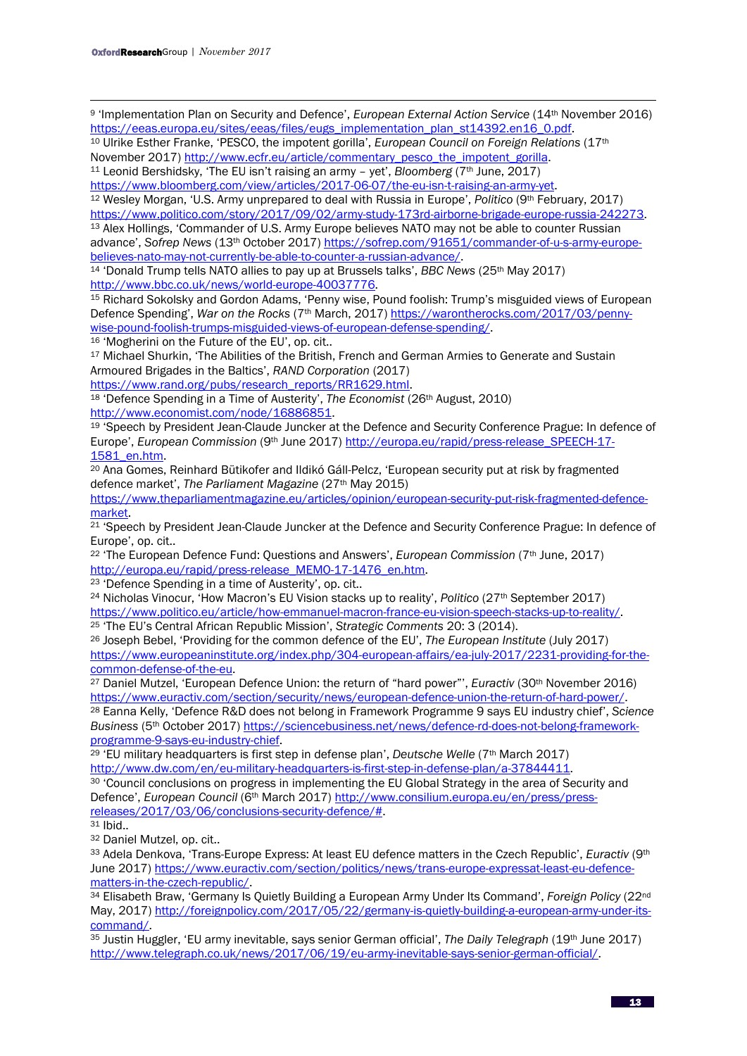**.** <sup>9</sup> 'Implementation Plan on Security and Defence', *European External Action Service* (14th November 2016) [https://eeas.europa.eu/sites/eeas/files/eugs\\_implementation\\_plan\\_st14392.en16\\_0.pdf.](https://eeas.europa.eu/sites/eeas/files/eugs_implementation_plan_st14392.en16_0.pdf)

<sup>10</sup> Ulrike Esther Franke, 'PESCO, the impotent gorilla', *European Council on Foreign Relations* (17th November 2017) [http://www.ecfr.eu/article/commentary\\_pesco\\_the\\_impotent\\_gorilla.](http://www.ecfr.eu/article/commentary_pesco_the_impotent_gorilla) <sup>11</sup> Leonid Bershidsky, 'The EU isn't raising an army - yet', *Bloomberg* (7<sup>th</sup> June, 2017)

[https://www.bloomberg.com/view/articles/2017-06-07/the-eu-isn-t-raising-an-army-yet.](https://www.bloomberg.com/view/articles/2017-06-07/the-eu-isn-t-raising-an-army-yet)

<sup>12</sup> Wesley Morgan, 'U.S. Army unprepared to deal with Russia in Europe', *Politico* (9th February, 2017)

[https://www.politico.com/story/2017/09/02/army-study-173rd-airborne-brigade-europe-russia-242273.](https://www.politico.com/story/2017/09/02/army-study-173rd-airborne-brigade-europe-russia-242273) <sup>13</sup> Alex Hollings, 'Commander of U.S. Army Europe believes NATO may not be able to counter Russian advance', *Sofrep News* (13th October 2017) [https://sofrep.com/91651/commander-of-u-s-army-europe](https://sofrep.com/91651/commander-of-u-s-army-europe-believes-nato-may-not-currently-be-able-to-counter-a-russian-advance/)[believes-nato-may-not-currently-be-able-to-counter-a-russian-advance/.](https://sofrep.com/91651/commander-of-u-s-army-europe-believes-nato-may-not-currently-be-able-to-counter-a-russian-advance/)

<sup>14</sup> 'Donald Trump tells NATO allies to pay up at Brussels talks', *BBC News* (25th May 2017) [http://www.bbc.co.uk/news/world-europe-40037776.](http://www.bbc.co.uk/news/world-europe-40037776)

<sup>15</sup> Richard Sokolsky and Gordon Adams, 'Penny wise, Pound foolish: Trump's misguided views of European Defence Spending', *War on the Rocks* (7th March, 2017) [https://warontherocks.com/2017/03/penny](https://warontherocks.com/2017/03/penny-wise-pound-foolish-trumps-misguided-views-of-european-defense-spending/)[wise-pound-foolish-trumps-misguided-views-of-european-defense-spending/.](https://warontherocks.com/2017/03/penny-wise-pound-foolish-trumps-misguided-views-of-european-defense-spending/)

<sup>16</sup> 'Mogherini on the Future of the EU', op. cit..

<sup>17</sup> Michael Shurkin. 'The Abilities of the British, French and German Armies to Generate and Sustain Armoured Brigades in the Baltics', *RAND Corporation* (2017)

[https://www.rand.org/pubs/research\\_reports/RR1629.html.](https://www.rand.org/pubs/research_reports/RR1629.html) 

<sup>18</sup> 'Defence Spending in a Time of Austerity', *The Economist* (26th August, 2010) [http://www.economist.com/node/16886851.](http://www.economist.com/node/16886851)

<sup>19</sup> 'Speech by President Jean-Claude Juncker at the Defence and Security Conference Prague: In defence of Europe', *European Commission* (9th June 2017) [http://europa.eu/rapid/press-release\\_SPEECH-17-](http://europa.eu/rapid/press-release_SPEECH-17-1581_en.htm) [1581\\_en.htm.](http://europa.eu/rapid/press-release_SPEECH-17-1581_en.htm)

<sup>20</sup> Ana Gomes, Reinhard Bütikofer and Ildikó Gáll-Pelcz, 'European security put at risk by fragmented defence market', *The Parliament Magazine* (27th May 2015)

[https://www.theparliamentmagazine.eu/articles/opinion/european-security-put-risk-fragmented-defence](https://www.theparliamentmagazine.eu/articles/opinion/european-security-put-risk-fragmented-defence-market)[market.](https://www.theparliamentmagazine.eu/articles/opinion/european-security-put-risk-fragmented-defence-market)

<sup>21</sup> 'Speech by President Jean-Claude Juncker at the Defence and Security Conference Prague: In defence of Europe', op. cit..

<sup>22</sup> 'The European Defence Fund: Questions and Answers', *European Commission* (7th June, 2017) [http://europa.eu/rapid/press-release\\_MEMO-17-1476\\_en.htm.](http://europa.eu/rapid/press-release_MEMO-17-1476_en.htm)

<sup>23</sup> 'Defence Spending in a time of Austerity', op. cit..

<sup>24</sup> Nicholas Vinocur, 'How Macron's EU Vision stacks up to reality', *Politico* (27th September 2017) [https://www.politico.eu/article/how-emmanuel-macron-france-eu-vision-speech-stacks-up-to-reality/.](https://www.politico.eu/article/how-emmanuel-macron-france-eu-vision-speech-stacks-up-to-reality/) 

<sup>25</sup> 'The EU's Central African Republic Mission', *Strategic Comments* 20: 3 (2014). <sup>26</sup> Joseph Bebel, 'Providing for the common defence of the EU', *The European Institute* (July 2017) [https://www.europeaninstitute.org/index.php/304-european-affairs/ea-july-2017/2231-providing-for-the-](https://www.europeaninstitute.org/index.php/304-european-affairs/ea-july-2017/2231-providing-for-the-common-defense-of-the-eu)

[common-defense-of-the-eu.](https://www.europeaninstitute.org/index.php/304-european-affairs/ea-july-2017/2231-providing-for-the-common-defense-of-the-eu)  <sup>27</sup> Daniel Mutzel, 'European Defence Union: the return of "hard power"', *Euractiv* (30th November 2016) [https://www.euractiv.com/section/security/news/european-defence-union-the-return-of-hard-power/.](https://www.euractiv.com/section/security/news/european-defence-union-the-return-of-hard-power/)

<sup>28</sup> Eanna Kelly, 'Defence R&D does not belong in Framework Programme 9 says EU industry chief', *Science Business* (5th October 2017) [https://sciencebusiness.net/news/defence-rd-does-not-belong-framework](https://sciencebusiness.net/news/defence-rd-does-not-belong-framework-programme-9-says-eu-industry-chief)[programme-9-says-eu-industry-chief.](https://sciencebusiness.net/news/defence-rd-does-not-belong-framework-programme-9-says-eu-industry-chief)

<sup>29</sup> 'EU military headquarters is first step in defense plan', *Deutsche Welle* (7<sup>th</sup> March 2017) [http://www.dw.com/en/eu-military-headquarters-is-first-step-in-defense-plan/a-37844411.](http://www.dw.com/en/eu-military-headquarters-is-first-step-in-defense-plan/a-37844411) 

<sup>30</sup> 'Council conclusions on progress in implementing the EU Global Strategy in the area of Security and Defence', *European Council* (6th March 2017) [http://www.consilium.europa.eu/en/press/press](http://www.consilium.europa.eu/en/press/press-releases/2017/03/06/conclusions-security-defence/)[releases/2017/03/06/conclusions-security-defence/#.](http://www.consilium.europa.eu/en/press/press-releases/2017/03/06/conclusions-security-defence/)

<sup>31</sup> Ibid..

<sup>32</sup> Daniel Mutzel, op. cit..

<sup>33</sup> Adela Denkova, 'Trans-Europe Express: At least EU defence matters in the Czech Republic', *Euractiv* (9th June 2017) [https://www.euractiv.com/section/politics/news/trans-europe-expressat-least-eu-defence](https://www.euractiv.com/section/politics/news/trans-europe-expressat-least-eu-defence-matters-in-the-czech-republic/)[matters-in-the-czech-republic/.](https://www.euractiv.com/section/politics/news/trans-europe-expressat-least-eu-defence-matters-in-the-czech-republic/)

<sup>34</sup> Elisabeth Braw, 'Germany Is Quietly Building a European Army Under Its Command', *Foreign Policy* (22nd May, 2017) [http://foreignpolicy.com/2017/05/22/germany-is-quietly-building-a-european-army-under-its](http://foreignpolicy.com/2017/05/22/germany-is-quietly-building-a-european-army-under-its-command/)[command/.](http://foreignpolicy.com/2017/05/22/germany-is-quietly-building-a-european-army-under-its-command/)

<sup>35</sup> Justin Huggler, 'EU army inevitable, says senior German official', *The Daily Telegraph* (19th June 2017) [http://www.telegraph.co.uk/news/2017/06/19/eu-army-inevitable-says-senior-german-official/.](http://www.telegraph.co.uk/news/2017/06/19/eu-army-inevitable-says-senior-german-official/)